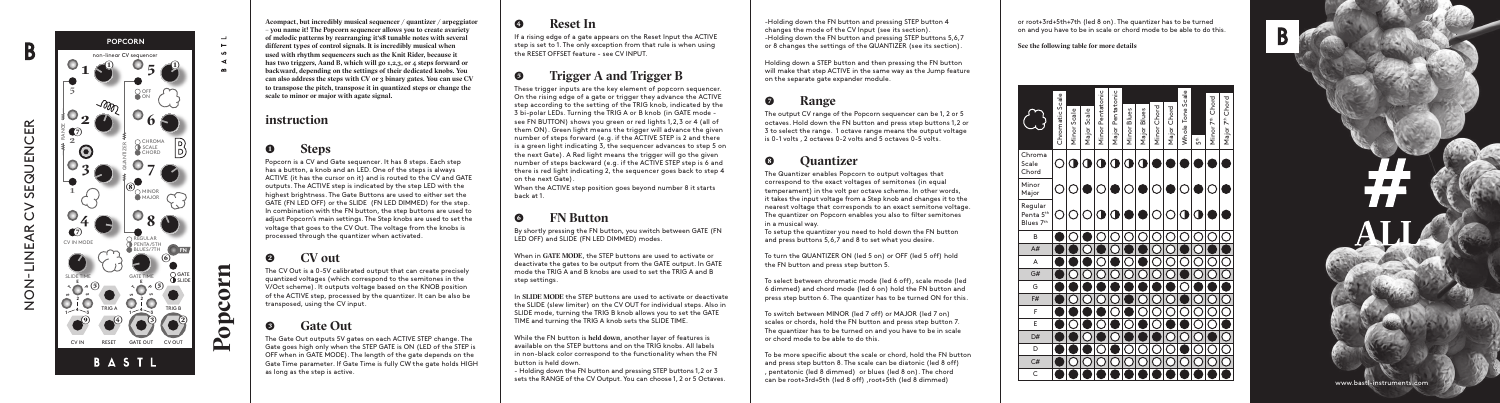

# **) Steps**

<sup>P</sup>opcorn is a CV and Gate sequencer. It has 8 steps. Each step has a button, a knob and an LED. One of the steps is always ACTIVE (it has the cursor on it) and is routed to the CV and GATE outputs. The ACTIVE step is indicated by the step LED with the highest brightness. The Gate Buttons are used to either set the GATE (FN LED OFF) or the SLIDE (FN LED DIMMED) for the step. In combination with the FN button, the step buttons are used to adjust Popcorn's main settings. The Step knobs are used to set the voltage that goes to the CV Out. The voltage from the knobs is processed through the quantizer when activated.

**A compact, but incredibly musical sequencer / quantizer / arpeggiator – you name it! The Popcorn sequencer allows you to create a variety of melodic patterns by rearranging it's 8 tunable notes with several different types of control signals. It is incredibly musical when used with rhythm sequencers such as the Knit Rider, because it**  has two triggers, A and B, which will go 1, 2, 3, or 4 steps forward or **backward, depending on the settings of their dedicated knobs. You can also address the steps with CV or 3 binary gates. You can use CV to transpose the pitch, transpose it in quantized steps or change the**  scale to minor or major with agate signal.

# **) CV out**

The CV Out is a 0-5V calibrated output that can create precisely quantized voltages (which correspond to the semitones in the V/Oct scheme). It outputs voltage based on the KNOB position of the ACTIVE step, processed by the quantizer. It can be also be transposed, using the CV input.

# **) Gate Out**

The Gate Out outputs 5V gates on each ACTIVE STEP change. The Gate goes high only when the STEP GATE is ON (LED of the STEP is OFF when in GATE MODE). The length of the gate depends on the Gate Time parameter. If Gate Time is fully CW the gate holds HIGH as long as the step is active.

These trigger inputs are the key element of popcorn sequencer. On the rising edge of a gate or trigger they advance the ACTIVE step according to the setting of the TRIG knob, indicated by the 3 bi-polar LEDs. Turning the TRIG A or B knob (in GATE mode see FN BUTTON) shows you green or red lights 1,2,3 or 4 (all of them ON). Green light means the trigger will advance the given number of steps forward (e.g. if the ACTIVE STEP is 2 and there is a green light indicating 3, the sequencer advances to step 5 on the next Gate). A Red light means the trigger will go the given number of steps backward (e.g. if the ACTIVE STEP step is 6 and there is red light indicating 2, the sequencer goes back to step 4 on the next Gate).

## **instruction**

**Popcorn**

 $\rightarrow$ 

 $\sim$  $\Omega$ 



 $rac{1}{\alpha}$ 

# **) Reset In**

If a rising edge of a gate appears on the Reset Input the ACTIVE step is set to 1. The only exception from that rule is when using the RESET OFFSET feature - see CV INPUT.

# **) Trigger A and Trigger B**

When the ACTIVE step position goes beyond number 8 it starts back at 1.

# **) FN Button**

By shortly pressing the FN button, you switch between GATE (FN LED OFF) and SLIDE (FN LED DIMMED) modes.

When in **GATE MODE**, the STEP buttons are used to activate or deactivate the gates to be output from the GATE output. In GATE mode the TRIG A and B knobs are used to set the TRIG A and B step settings.

In **SLIDE MODE** the STEP buttons are used to activate or deactivate the SLIDE (slew limiter) on the CV OUT for individual steps. Also in SLIDE mode, turning the TRIG B knob allows you to set the GATE TIME and turning the TRIG A knob sets the SLIDE TIME.

While the FN button is **held down**, another layer of features is available on the STEP buttons and on the TRIG knobs. All labels in non-black color correspond to the functionality when the FN button is held down.

- Holding down the FN button and pressing STEP buttons 1,2 or 3 sets the RANGE of the CV Output. You can choose 1, 2 or 5 Octaves. -Holding down the FN button and pressing STEP button 4 changes the mode of the CV Input (see its section). -Holding down the FN button and pressing STEP buttons 5,6,7 or 8 changes the settings of the QUANTIZER (see its section).

Holding down a STEP button and then pressing the FN button will make that step ACTIVE in the same way as the Jump feature on the separate gate expander module.

# **) Range**

The output CV range of the Popcorn sequencer can be 1, 2 or 5 octaves. Hold down the FN button and press step buttons 1,2 or 3 to select the range. 1 octave range means the output voltage is 0-1 volts , 2 octaves 0-2 volts and 5 octaves 0-5 volts.

# **) Quantizer**

The Quantizer enables Popcorn to output voltages that correspond to the exact voltages of semitones (in equal temperament) in the volt per octave scheme. In other words, it takes the input voltage from a Step knob and changes it to the nearest voltage that corresponds to an exact semitone voltage. The quantizer on Popcorn enables you also to filter semitones in a musical way.

To setup the quantizer you need to hold down the FN button and press buttons 5,6,7 and 8 to set what you desire.

To turn the QUANTIZER ON (led 5 on) or OFF (led 5 off) hold the FN button and press step button 5.

To select between chromatic mode (led 6 off), scale mode (led 6 dimmed) and chord mode (led 6 on) hold the FN button and press step button 6. The quantizer has to be turned ON for this.

To switch between MINOR (led 7 off) or MAJOR (led 7 on) scales or chords, hold the FN button and press step button 7. The quantizer has to be turned on and you have to be in scale or chord mode to be able to do this.

To be more specific about the scale or chord, hold the FN button and press step button 8. The scale can be diatonic (led 8 off) , pentatonic (led 8 dimmed) or blues (led 8 on). The chord can be root+3rd+5th (led 8 off) ,root+5th (led 8 dimmed)

or root+3rd+5th+7th (led 8 on). The quantizer has to be turned on and you have to be in scale or chord mode to be able to do this.

**See the following table for more details**

|                                               | Chromatic Scale | Minor Scale | Major Scale | Minor Pentatonic        | Major Pentatonic | Minor Blues | Major Blues | Minor Chord | Major Chord | Whole Tone Scale | 5th | Minor 7 <sup>th</sup> Chord | Major 7 <sup>th</sup> Chord |
|-----------------------------------------------|-----------------|-------------|-------------|-------------------------|------------------|-------------|-------------|-------------|-------------|------------------|-----|-----------------------------|-----------------------------|
| Chroma<br>Scale<br>Chord                      |                 | ſ           | C           | $\overline{\textbf{O}}$ | $\mathbf 0$      | d           | d           |             |             |                  |     |                             |                             |
| Minor<br>Major                                |                 |             |             |                         |                  |             |             |             |             |                  |     |                             |                             |
| Regular<br>Penta 5 <sup>th</sup><br>Blues 7th |                 |             |             | Π                       | Π                |             |             |             |             | Π                | ſ I |                             |                             |
| B                                             |                 |             |             |                         |                  |             |             |             |             |                  |     |                             |                             |
| A#                                            |                 |             |             |                         |                  |             |             |             |             |                  |     |                             |                             |
| A                                             |                 |             |             |                         |                  |             |             |             |             |                  |     |                             |                             |
| G#                                            |                 |             |             |                         |                  |             |             |             |             |                  |     |                             |                             |
| G                                             |                 |             |             |                         |                  |             |             |             |             |                  |     |                             |                             |
| F#                                            |                 |             |             |                         |                  |             |             |             |             |                  |     |                             |                             |
| F                                             |                 |             |             |                         |                  |             |             |             |             |                  |     |                             |                             |
| E                                             |                 |             |             |                         |                  |             |             |             |             |                  |     |                             |                             |
| D#                                            |                 |             |             |                         |                  |             |             |             |             |                  |     |                             |                             |
| D                                             |                 |             |             |                         |                  |             |             |             |             |                  |     |                             |                             |
| C#                                            |                 |             |             |                         |                  |             |             |             |             |                  |     |                             |                             |
| C                                             |                 |             |             |                         |                  |             |             |             |             |                  |     |                             |                             |